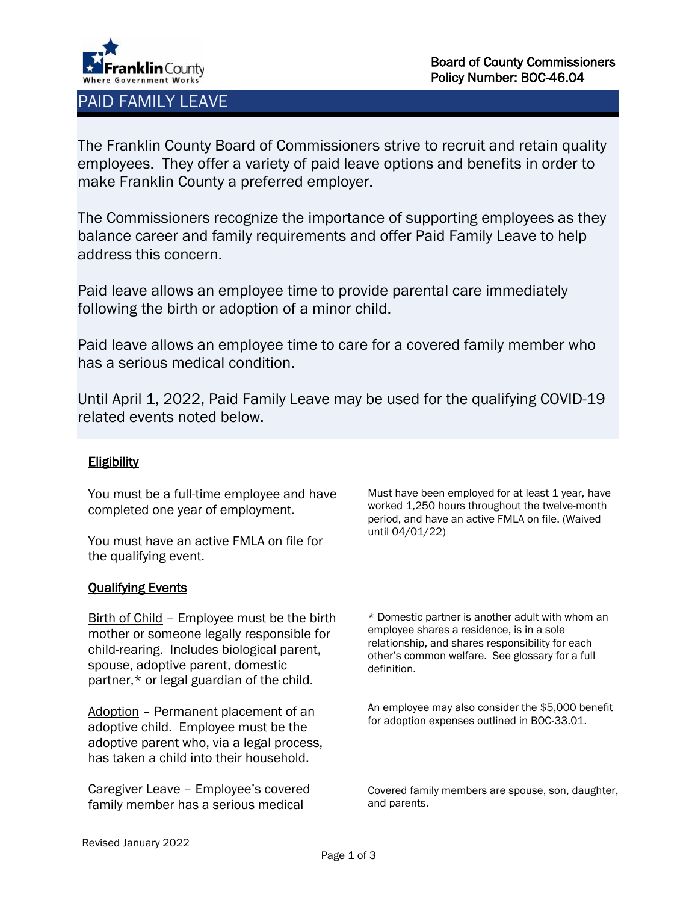

# PAID FAMILY LEAVE

The Franklin County Board of Commissioners strive to recruit and retain quality employees. They offer a variety of paid leave options and benefits in order to make Franklin County a preferred employer.

The Commissioners recognize the importance of supporting employees as they balance career and family requirements and offer Paid Family Leave to help address this concern.

Paid leave allows an employee time to provide parental care immediately following the birth or adoption of a minor child.

Paid leave allows an employee time to care for a covered family member who has a serious medical condition.

Until April 1, 2022, Paid Family Leave may be used for the qualifying COVID-19 related events noted below.

# **Eligibility**

You must be a full-time employee and have completed one year of employment.

You must have an active FMLA on file for the qualifying event.

# Qualifying Events

Birth of Child – Employee must be the birth mother or someone legally responsible for child-rearing. Includes biological parent, spouse, adoptive parent, domestic partner,\* or legal guardian of the child.

Adoption – Permanent placement of an adoptive child. Employee must be the adoptive parent who, via a legal process, has taken a child into their household.

Caregiver Leave – Employee's covered family member has a serious medical

Must have been employed for at least 1 year, have worked 1,250 hours throughout the twelve-month period, and have an active FMLA on file. (Waived until 04/01/22)

\* Domestic partner is another adult with whom an employee shares a residence, is in a sole relationship, and shares responsibility for each other's common welfare. See glossary for a full definition.

An employee may also consider the \$5,000 benefit for adoption expenses outlined in BOC-33.01.

Covered family members are spouse, son, daughter, and parents.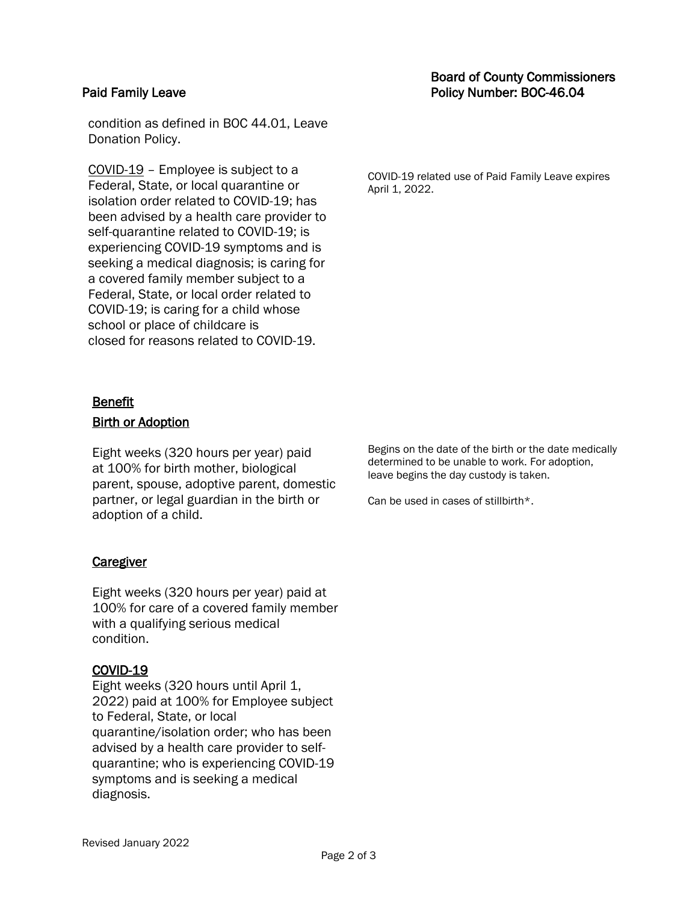# Board of County Commissioners Paid Family Leave **Policy Number: BOC-46.04**

condition as defined in BOC 44.01, Leave Donation Policy.

COVID-19 – Employee is subject to a Federal, State, or local quarantine or isolation order related to COVID-19; has been advised by a health care provider to self-quarantine related to COVID-19; is experiencing COVID-19 symptoms and is seeking a medical diagnosis; is caring for a covered family member subject to a Federal, State, or local order related to COVID-19; is caring for a child whose school or place of childcare is closed for reasons related to COVID-19.

COVID-19 related use of Paid Family Leave expires April 1, 2022.

### Benefit

### Birth or Adoption

Eight weeks (320 hours per year) paid at 100% for birth mother, biological parent, spouse, adoptive parent, domestic partner, or legal guardian in the birth or adoption of a child.

#### **Caregiver**

Eight weeks (320 hours per year) paid at 100% for care of a covered family member with a qualifying serious medical condition.

## COVID-19

Eight weeks (320 hours until April 1, 2022) paid at 100% for Employee subject to Federal, State, or local quarantine/isolation order; who has been advised by a health care provider to selfquarantine; who is experiencing COVID-19 symptoms and is seeking a medical diagnosis.

Begins on the date of the birth or the date medically determined to be unable to work. For adoption, leave begins the day custody is taken.

Can be used in cases of stillbirth\*.